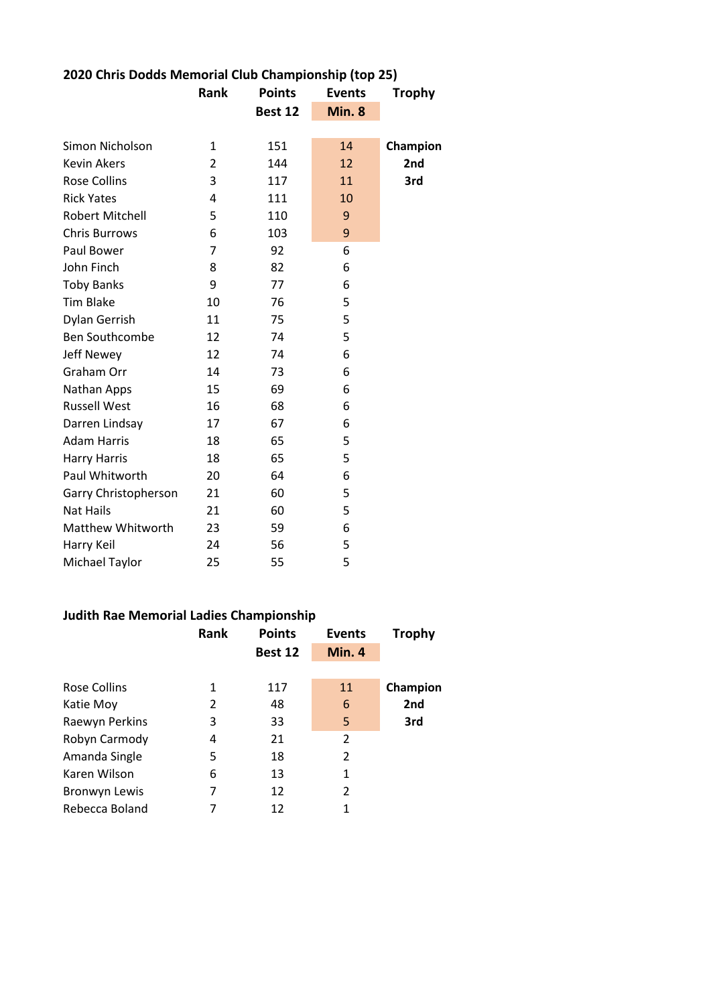|              |         | <b>Events</b> | <b>Trophy</b> |
|--------------|---------|---------------|---------------|
|              | Best 12 | Min. 8        |               |
|              |         |               |               |
| $\mathbf{1}$ | 151     | 14            | Champion      |
| 2            | 144     | 12            | 2nd           |
| 3            | 117     | 11            | 3rd           |
| 4            | 111     | 10            |               |
| 5            | 110     | 9             |               |
| 6            | 103     | 9             |               |
| 7            | 92      | 6             |               |
| 8            | 82      | 6             |               |
| 9            | 77      | 6             |               |
| 10           | 76      | 5             |               |
| 11           | 75      | 5             |               |
| 12           | 74      | 5             |               |
| 12           | 74      | 6             |               |
| 14           | 73      | 6             |               |
| 15           | 69      | 6             |               |
| 16           | 68      | 6             |               |
| 17           | 67      | 6             |               |
| 18           | 65      | 5             |               |
| 18           | 65      | 5             |               |
| 20           | 64      | 6             |               |
| 21           | 60      | 5             |               |
| 21           | 60      | 5             |               |
| 23           | 59      | 6             |               |
| 24           | 56      | 5             |               |
| 25           | 55      | 5             |               |
|              | Rank    | <b>Points</b> |               |

## **2020 Chris Dodds Memorial Club Championship (top 25)**

## **Judith Rae Memorial Ladies Championship**

|                      | Rank | <b>Points</b> | <b>Events</b>  | <b>Trophy</b> |
|----------------------|------|---------------|----------------|---------------|
|                      |      | Best 12       | <b>Min. 4</b>  |               |
|                      |      |               |                |               |
| Rose Collins         | 1    | 117           | 11             | Champion      |
| Katie Moy            | 2    | 48            | 6              | 2nd           |
| Raewyn Perkins       | 3    | 33            | 5              | 3rd           |
| Robyn Carmody        | 4    | 21            | $\overline{2}$ |               |
| Amanda Single        | 5    | 18            | 2              |               |
| Karen Wilson         | 6    | 13            | 1              |               |
| <b>Bronwyn Lewis</b> | 7    | 12            | 2              |               |
| Rebecca Boland       | 7    | 12            | 1              |               |